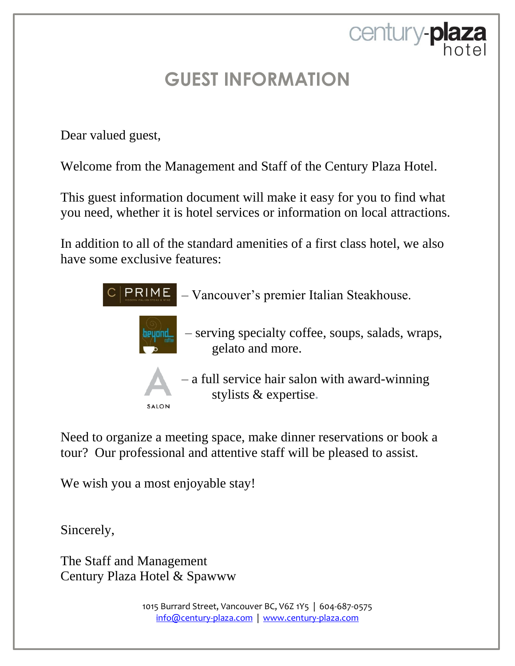century-plaza

Dear valued guest,

Welcome from the Management and Staff of the Century Plaza Hotel.

This guest information document will make it easy for you to find what you need, whether it is hotel services or information on local attractions.

In addition to all of the standard amenities of a first class hotel, we also have some exclusive features:



Need to organize a meeting space, make dinner reservations or book a tour? Our professional and attentive staff will be pleased to assist.

We wish you a most enjoyable stay!

Sincerely,

The Staff and Management Century Plaza Hotel & Spawww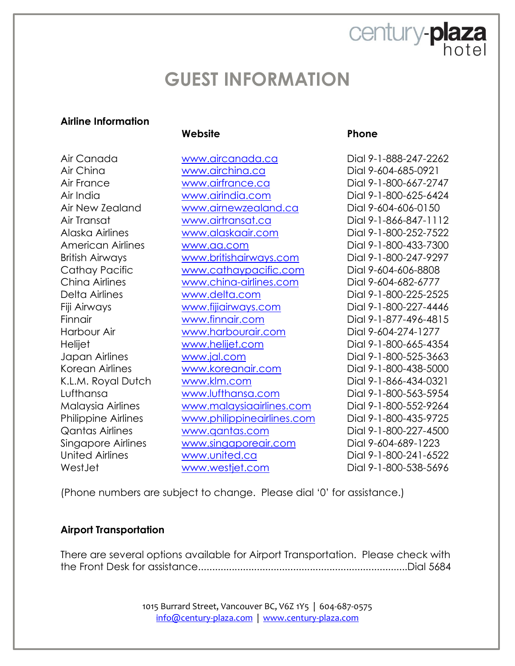#### **Airline Information**

#### **Website Phone**

Air China [www.airchina.ca](http://www.airchina.ca/) Dial 9-604-685-0921 Air France [www.airfrance.ca](http://www.airfrance.ca/) Dial 9-1-800-667-2747 Air India [www.airindia.com](http://www.airindia.com/) Dial 9-1-800-625-6424 Air New Zealand [www.airnewzealand.ca](http://www.airnewzealand.ca/) Dial 9-604-606-0150 Air Transat [www.airtransat.ca](http://www.airtransat.ca/) Dial 9-1-866-847-1112 Alaska Airlines [www.alaskaair.com](http://www.alaskaair.com/) Dial 9-1-800-252-7522 American Airlines [www.aa.com](http://www.aa.com/) Dial 9-1-800-433-7300 British Airways **WWW.britishairways.com** Dial 9-1-800-247-9297 Cathay Pacific [www.cathaypacific.com](http://www.cathaypacific.com/) Dial 9-604-606-8808 China Airlines [www.china-airlines.com](http://www.china-airlines.com/) Dial 9-604-682-6777 Delta Airlines [www.delta.com](http://www.delta.com/) Dial 9-1-800-225-2525 Fiji Airways [www.fijiairways.com](http://www.fijiairways.com/) Dial 9-1-800-227-4446 Finnair [www.finnair.com](http://www.finnair.com/) Dial 9-1-877-496-4815 Harbour Air [www.harbourair.com](http://www.harbourair.com/) Dial 9-604-274-1277 Helijet [www.helijet.com](http://www.helijet.com/) Dial 9-1-800-665-4354 Japan Airlines [www.jal.com](http://www.jal.com/) Dial 9-1-800-525-3663 Korean Airlines [www.koreanair.com](http://www.koreanair.com/) Dial 9-1-800-438-5000 K.L.M. Royal Dutch [www.klm.com](http://www.klm.com/) Dial 9-1-866-434-0321 Lufthansa [www.lufthansa.com](http://www.lufthansa.com/) Dial 9-1-800-563-5954 Malaysia Airlines [www.malaysiaairlines.com](http://www.malaysiaairlines.com/) Dial 9-1-800-552-9264 Philippine Airlines [www.philippineairlines.com](http://www.philippineairlines.com/) Dial 9-1-800-435-9725 Qantas Airlines [www.qantas.com](http://www.qantas.com/) Dial 9-1-800-227-4500 Singapore Airlines [www.singaporeair.com](http://www.singaporeair.com/) Dial 9-604-689-1223 United Airlines [www.united.ca](http://www.united.ca/) Dial 9-1-800-241-6522 WestJet [www.westjet.com](http://www.westjet.com/) Dial 9-1-800-538-5696

century-plaza

hotel

Air Canada [www.aircanada.ca](http://www.aircanada.ca/) Dial 9-1-888-247-2262

(Phone numbers are subject to change. Please dial '0' for assistance.)

#### **Airport Transportation**

There are several options available for Airport Transportation. Please check with the Front Desk for assistance...........................................................................Dial 5684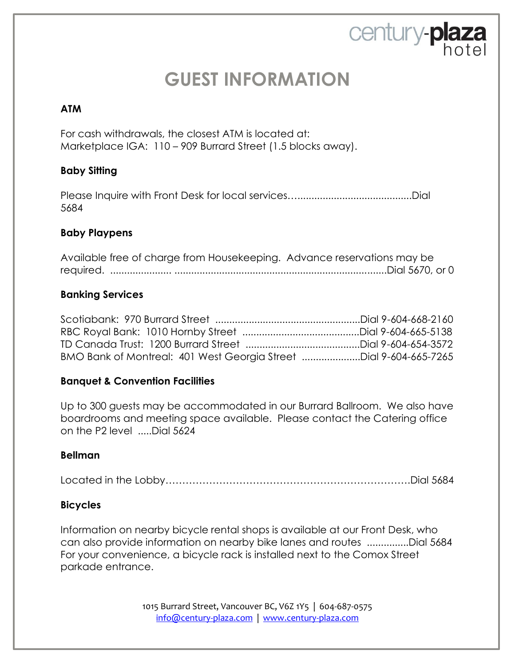century-plaza

#### **ATM**

For cash withdrawals, the closest ATM is located at: Marketplace IGA: 110 – 909 Burrard Street (1.5 blocks away).

#### **Baby Sitting**

Please Inquire with Front Desk for local services….........................................Dial 5684

#### **Baby Playpens**

|  |  | Available free of charge from Housekeeping. Advance reservations may be |  |
|--|--|-------------------------------------------------------------------------|--|
|  |  |                                                                         |  |

#### **Banking Services**

Scotiabank: 970 Burrard Street ....................................................Dial 9-604-668-2160 RBC Royal Bank: 1010 Hornby Street ..........................................Dial 9-604-665-5138 TD Canada Trust: 1200 Burrard Street .........................................Dial 9-604-654-3572 BMO Bank of Montreal: 401 West Georgia Street .....................Dial 9-604-665-7265

#### **Banquet & Convention Facilities**

Up to 300 guests may be accommodated in our Burrard Ballroom. We also have boardrooms and meeting space available. Please contact the Catering office on the P2 level .....Dial 5624

#### **Bellman**

Located in the Lobby……………………………………………………………….Dial 5684

#### **Bicycles**

Information on nearby bicycle rental shops is available at our Front Desk, who can also provide information on nearby bike lanes and routes ...............Dial 5684 For your convenience, a bicycle rack is installed next to the Comox Street parkade entrance.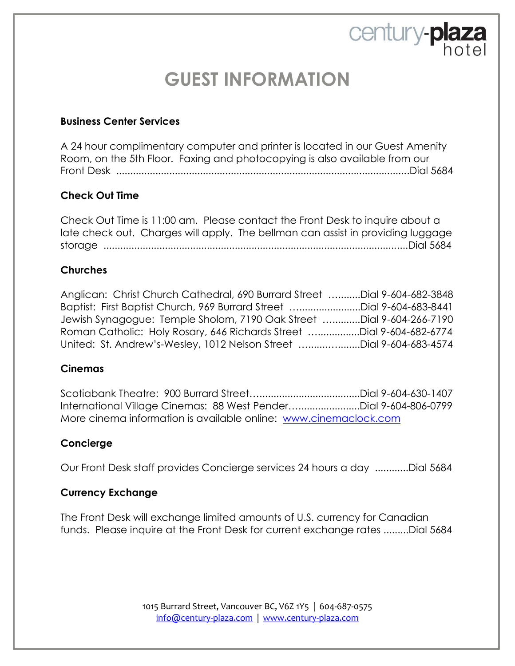century-plaza

#### **Business Center Services**

A 24 hour complimentary computer and printer is located in our Guest Amenity Room, on the 5th Floor. Faxing and photocopying is also available from our Front Desk .........................................................................................................Dial 5684

#### **Check Out Time**

Check Out Time is 11:00 am. Please contact the Front Desk to inquire about a late check out. Charges will apply. The bellman can assist in providing luggage storage .............................................................................................................Dial 5684

#### **Churches**

| Anglican: Christ Church Cathedral, 690 Burrard Street Dial 9-604-682-3848 |  |
|---------------------------------------------------------------------------|--|
| Baptist: First Baptist Church, 969 Burrard Street Dial 9-604-683-8441     |  |
| Jewish Synagogue: Temple Sholom, 7190 Oak Street Dial 9-604-266-7190      |  |
| Roman Catholic: Holy Rosary, 646 Richards Street Dial 9-604-682-6774      |  |
| United: St. Andrew's-Wesley, 1012 Nelson Street Dial 9-604-683-4574       |  |

#### **Cinemas**

Scotiabank Theatre: 900 Burrard Street…....................................Dial 9-604-630-1407 International Village Cinemas: 88 West Pender…......................Dial 9-604-806-0799 More cinema information is available online: [www.cinemaclock.com](http://www.cinemaclock.com/)

#### **Concierge**

Our Front Desk staff provides Concierge services 24 hours a day ............Dial 5684

#### **Currency Exchange**

The Front Desk will exchange limited amounts of U.S. currency for Canadian funds. Please inquire at the Front Desk for current exchange rates .........Dial 5684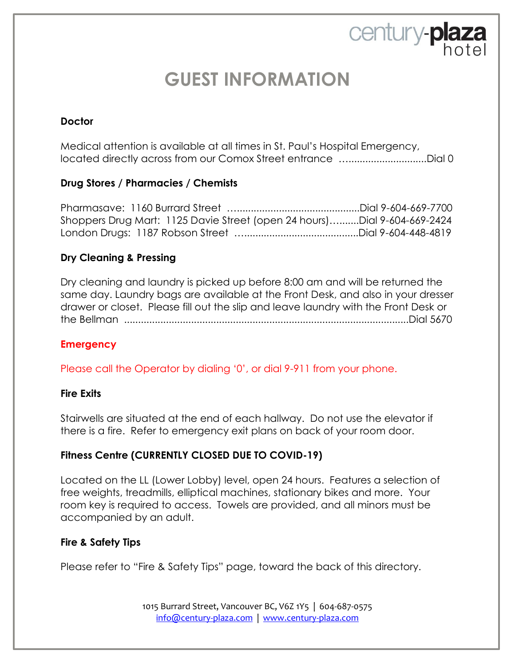century-plaza

#### **Doctor**

Medical attention is available at all times in St. Paul's Hospital Emergency, located directly across from our Comox Street entrance …............................Dial 0

#### **Drug Stores / Pharmacies / Chemists**

Pharmasave: 1160 Burrard Street …............................................Dial 9-604-669-7700 Shoppers Drug Mart: 1125 Davie Street (open 24 hours)….......Dial 9-604-669-2424 London Drugs: 1187 Robson Street ….........................................Dial 9-604-448-4819

#### **Dry Cleaning & Pressing**

Dry cleaning and laundry is picked up before 8:00 am and will be returned the same day. Laundry bags are available at the Front Desk, and also in your dresser drawer or closet. Please fill out the slip and leave laundry with the Front Desk or the Bellman ......................................................................................................Dial 5670

#### **Emergency**

Please call the Operator by dialing '0', or dial 9-911 from your phone.

#### **Fire Exits**

Stairwells are situated at the end of each hallway. Do not use the elevator if there is a fire. Refer to emergency exit plans on back of your room door.

#### **Fitness Centre (CURRENTLY CLOSED DUE TO COVID-19)**

Located on the LL (Lower Lobby) level, open 24 hours. Features a selection of free weights, treadmills, elliptical machines, stationary bikes and more. Your room key is required to access. Towels are provided, and all minors must be accompanied by an adult.

#### **Fire & Safety Tips**

Please refer to "Fire & Safety Tips" page, toward the back of this directory.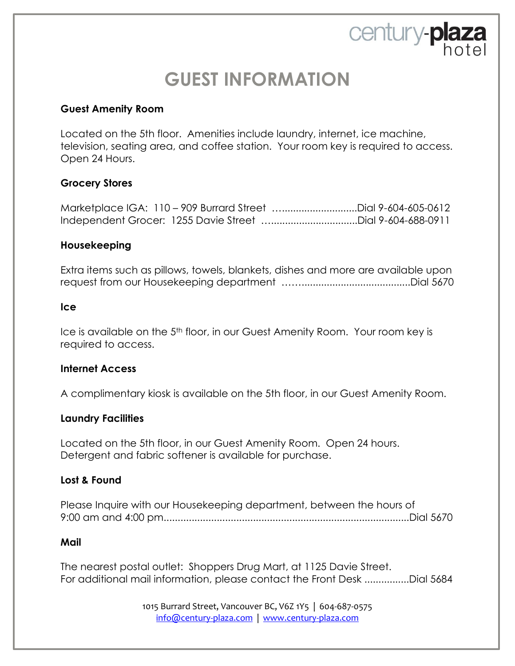century-plaza

#### **Guest Amenity Room**

Located on the 5th floor. Amenities include laundry, internet, ice machine, television, seating area, and coffee station. Your room key is required to access. Open 24 Hours.

#### **Grocery Stores**

Marketplace IGA: 110 – 909 Burrard Street …...........................Dial 9-604-605-0612 Independent Grocer: 1255 Davie Street …...............................Dial 9-604-688-0911

#### **Housekeeping**

Extra items such as pillows, towels, blankets, dishes and more are available upon request from our Housekeeping department …….......................................Dial 5670

#### **Ice**

Ice is available on the 5<sup>th</sup> floor, in our Guest Amenity Room. Your room key is required to access.

#### **Internet Access**

A complimentary kiosk is available on the 5th floor, in our Guest Amenity Room.

#### **Laundry Facilities**

Located on the 5th floor, in our Guest Amenity Room. Open 24 hours. Detergent and fabric softener is available for purchase.

#### **Lost & Found**

| Please Inquire with our Housekeeping department, between the hours of |  |
|-----------------------------------------------------------------------|--|
|                                                                       |  |

#### **Mail**

The nearest postal outlet: Shoppers Drug Mart, at 1125 Davie Street. For additional mail information, please contact the Front Desk ................Dial 5684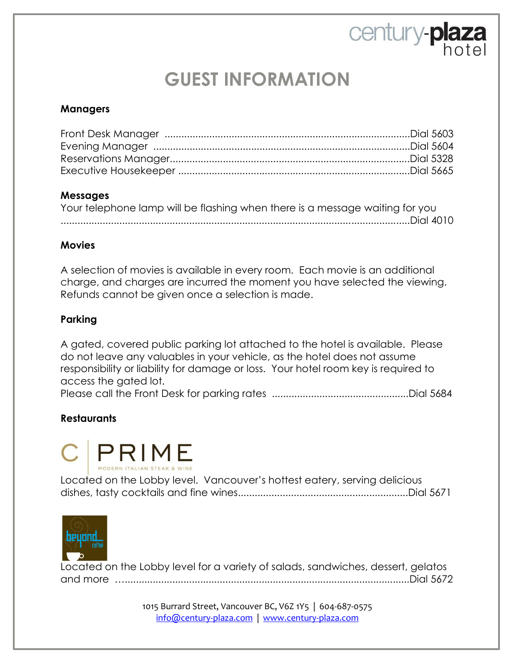century-plaza

#### **Managers**

#### **Messages**

| Your telephone lamp will be flashing when there is a message waiting for you |  |
|------------------------------------------------------------------------------|--|
|                                                                              |  |

#### **Movies**

A selection of movies is available in every room. Each movie is an additional charge, and charges are incurred the moment you have selected the viewing. Refunds cannot be given once a selection is made.

#### **Parking**

A gated, covered public parking lot attached to the hotel is available. Please do not leave any valuables in your vehicle, as the hotel does not assume responsibility or liability for damage or loss. Your hotel room key is required to access the gated lot.

Please call the Front Desk for parking rates .................................................Dial 5684

#### **Restaurants**



| Located on the Lobby level. Vancouver's hottest eatery, serving delicious |  |
|---------------------------------------------------------------------------|--|
|                                                                           |  |



Located on the Lobby level for a variety of salads, sandwiches, dessert, gelatos and more …......................................................................................................Dial 5672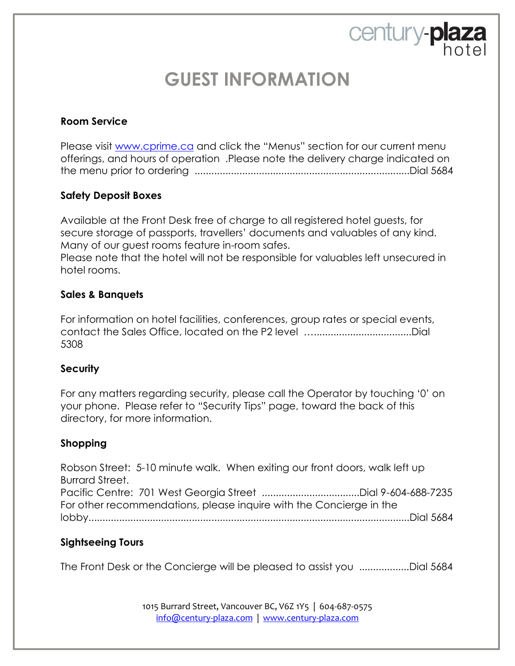century-plaza

#### **Room Service**

Please visit [www.cprime.ca](http://www.cprime.ca/) and click the "Menus" section for our current menu offerings, and hours of operation .Please note the delivery charge indicated on the menu prior to ordering .............................................................................Dial 5684

#### **Safety Deposit Boxes**

Available at the Front Desk free of charge to all registered hotel guests, for secure storage of passports, travellers' documents and valuables of any kind. Many of our guest rooms feature in-room safes. Please note that the hotel will not be responsible for valuables left unsecured in hotel rooms.

#### **Sales & Banquets**

For information on hotel facilities, conferences, group rates or special events, contact the Sales Office, located on the P2 level …...................................Dial 5308

#### **Security**

For any matters regarding security, please call the Operator by touching '0' on your phone. Please refer to "Security Tips" page, toward the back of this directory, for more information.

#### **Shopping**

Robson Street: 5-10 minute walk. When exiting our front doors, walk left up Burrard Street. Pacific Centre: 701 West Georgia Street ...................................Dial 9-604-688-7235 For other recommendations, please inquire with the Concierge in the lobby...................................................................................................................Dial 5684

#### **Sightseeing Tours**

The Front Desk or the Concierge will be pleased to assist you ..................Dial 5684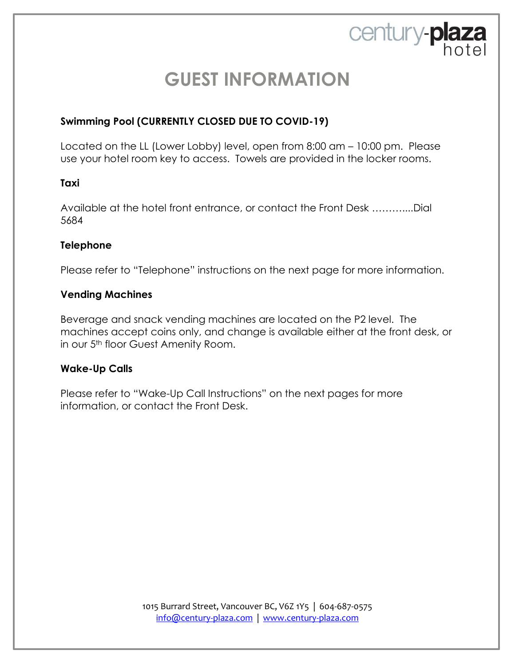century-plaza

#### **Swimming Pool (CURRENTLY CLOSED DUE TO COVID-19)**

Located on the LL (Lower Lobby) level, open from 8:00 am – 10:00 pm. Please use your hotel room key to access. Towels are provided in the locker rooms.

#### **Taxi**

Available at the hotel front entrance, or contact the Front Desk ………....Dial 5684

#### **Telephone**

Please refer to "Telephone" instructions on the next page for more information.

#### **Vending Machines**

Beverage and snack vending machines are located on the P2 level. The machines accept coins only, and change is available either at the front desk, or in our 5<sup>th</sup> floor Guest Amenity Room.

#### **Wake-Up Calls**

Please refer to "Wake-Up Call Instructions" on the next pages for more information, or contact the Front Desk.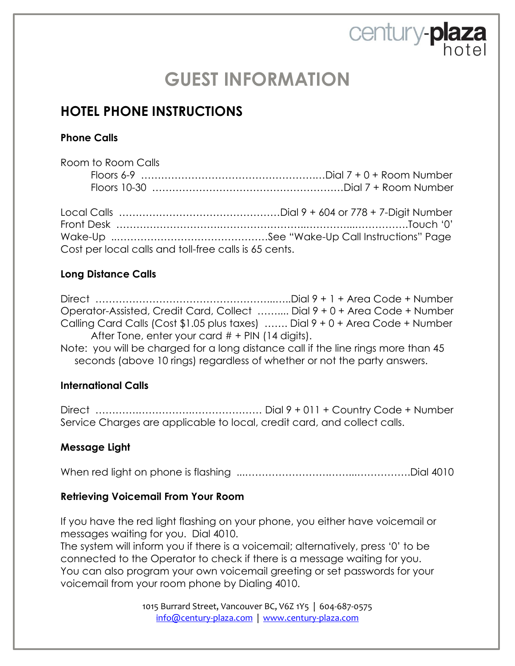century-plaza

### **HOTEL PHONE INSTRUCTIONS**

Cost per local calls and toll-free calls is 65 cents.

#### **Phone Calls**

| Room to Room Calls |  |
|--------------------|--|
|                    |  |
|                    |  |
|                    |  |
|                    |  |
|                    |  |

#### **Long Distance Calls**

Direct ……………………………………………...…..Dial 9 + 1 + Area Code + Number Operator-Assisted, Credit Card, Collect …….... Dial 9 + 0 + Area Code + Number Calling Card Calls (Cost \$1.05 plus taxes) ……. Dial 9 + 0 + Area Code + Number After Tone, enter your card  $#$  + PIN (14 digits).

Note: you will be charged for a long distance call if the line rings more than 45 seconds (above 10 rings) regardless of whether or not the party answers.

#### **International Calls**

Direct ………….…………….………………… Dial 9 + 011 + Country Code + Number Service Charges are applicable to local, credit card, and collect calls.

#### **Message Light**

When red light on phone is flashing ...…………………….……...…………….Dial 4010

#### **Retrieving Voicemail From Your Room**

If you have the red light flashing on your phone, you either have voicemail or messages waiting for you. Dial 4010.

The system will inform you if there is a voicemail; alternatively, press '0' to be connected to the Operator to check if there is a message waiting for you. You can also program your own voicemail greeting or set passwords for your voicemail from your room phone by Dialing 4010.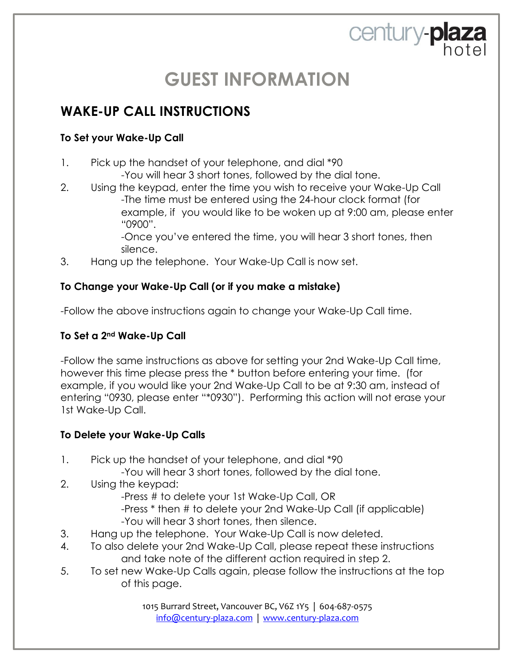century-plaza

### **WAKE-UP CALL INSTRUCTIONS**

#### **To Set your Wake-Up Call**

- 1. Pick up the handset of your telephone, and dial \*90
	- -You will hear 3 short tones, followed by the dial tone.
- 2. Using the keypad, enter the time you wish to receive your Wake-Up Call -The time must be entered using the 24-hour clock format (for example, if you would like to be woken up at 9:00 am, please enter "0900".

-Once you've entered the time, you will hear 3 short tones, then silence.

3. Hang up the telephone. Your Wake-Up Call is now set.

#### **To Change your Wake-Up Call (or if you make a mistake)**

-Follow the above instructions again to change your Wake-Up Call time.

#### **To Set a 2nd Wake-Up Call**

-Follow the same instructions as above for setting your 2nd Wake-Up Call time, however this time please press the \* button before entering your time. (for example, if you would like your 2nd Wake-Up Call to be at 9:30 am, instead of entering "0930, please enter "\*0930"). Performing this action will not erase your 1st Wake-Up Call.

#### **To Delete your Wake-Up Calls**

- 1. Pick up the handset of your telephone, and dial \*90
	- -You will hear 3 short tones, followed by the dial tone.
- 2. Using the keypad:
	- -Press # to delete your 1st Wake-Up Call, OR
	- -Press \* then # to delete your 2nd Wake-Up Call (if applicable)
	- -You will hear 3 short tones, then silence.
- 3. Hang up the telephone. Your Wake-Up Call is now deleted.
- 4. To also delete your 2nd Wake-Up Call, please repeat these instructions and take note of the different action required in step 2.
- 5. To set new Wake-Up Calls again, please follow the instructions at the top of this page.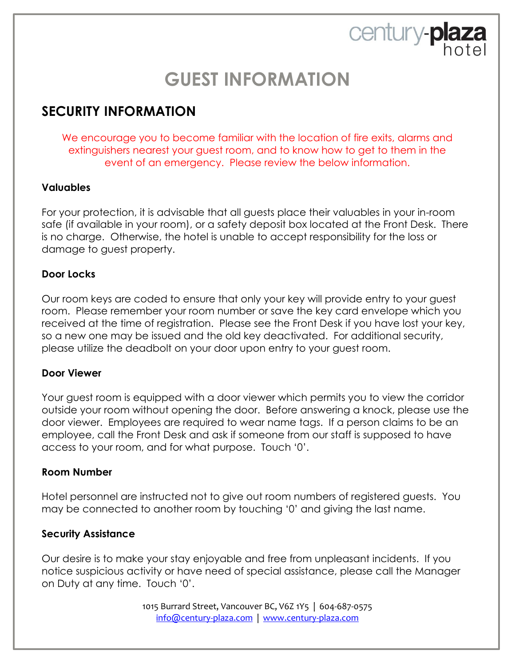century-plaza

### **SECURITY INFORMATION**

We encourage you to become familiar with the location of fire exits, alarms and extinguishers nearest your guest room, and to know how to get to them in the event of an emergency. Please review the below information.

#### **Valuables**

For your protection, it is advisable that all guests place their valuables in your in-room safe (if available in your room), or a safety deposit box located at the Front Desk. There is no charge. Otherwise, the hotel is unable to accept responsibility for the loss or damage to guest property.

#### **Door Locks**

Our room keys are coded to ensure that only your key will provide entry to your guest room. Please remember your room number or save the key card envelope which you received at the time of registration. Please see the Front Desk if you have lost your key, so a new one may be issued and the old key deactivated. For additional security, please utilize the deadbolt on your door upon entry to your guest room.

#### **Door Viewer**

Your guest room is equipped with a door viewer which permits you to view the corridor outside your room without opening the door. Before answering a knock, please use the door viewer. Employees are required to wear name tags. If a person claims to be an employee, call the Front Desk and ask if someone from our staff is supposed to have access to your room, and for what purpose. Touch '0'.

#### **Room Number**

Hotel personnel are instructed not to give out room numbers of registered guests. You may be connected to another room by touching '0' and giving the last name.

#### **Security Assistance**

Our desire is to make your stay enjoyable and free from unpleasant incidents. If you notice suspicious activity or have need of special assistance, please call the Manager on Duty at any time. Touch '0'.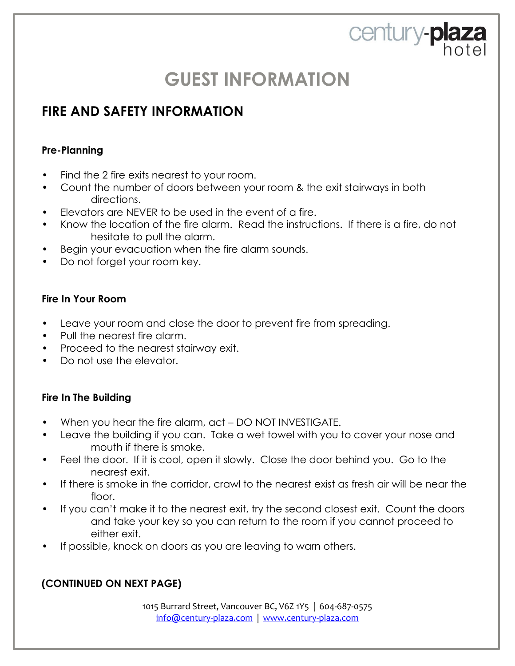century-plaza

### **FIRE AND SAFETY INFORMATION**

#### **Pre-Planning**

- Find the 2 fire exits nearest to your room.
- Count the number of doors between your room & the exit stairways in both directions.
- Elevators are NEVER to be used in the event of a fire.
- Know the location of the fire alarm. Read the instructions. If there is a fire, do not hesitate to pull the alarm.
- Begin your evacuation when the fire alarm sounds.
- Do not forget your room key.

#### **Fire In Your Room**

- Leave your room and close the door to prevent fire from spreading.
- Pull the nearest fire alarm.
- Proceed to the nearest stairway exit.
- Do not use the elevator.

#### **Fire In The Building**

- When you hear the fire alarm, act DO NOT INVESTIGATE.
- Leave the building if you can. Take a wet towel with you to cover your nose and mouth if there is smoke.
- Feel the door. If it is cool, open it slowly. Close the door behind you. Go to the nearest exit.
- If there is smoke in the corridor, crawl to the nearest exist as fresh air will be near the floor.
- If you can't make it to the nearest exit, try the second closest exit. Count the doors and take your key so you can return to the room if you cannot proceed to either exit.
- If possible, knock on doors as you are leaving to warn others.

### **(CONTINUED ON NEXT PAGE)**